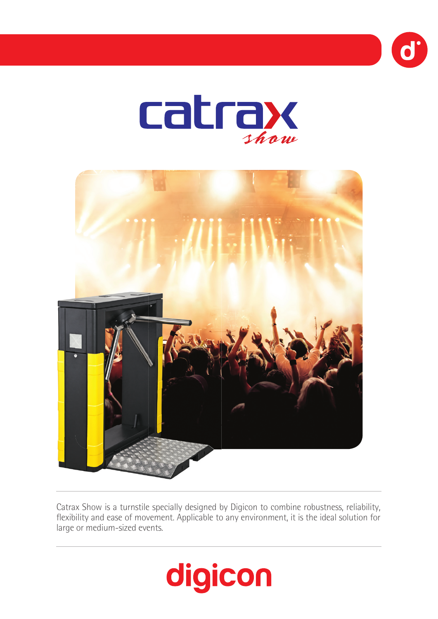





Catrax Show is a turnstile specially designed by Digicon to combine robustness, reliability, flexibility and ease of movement. Applicable to any environment, it is the ideal solution for large or medium-sized events.

## digicon